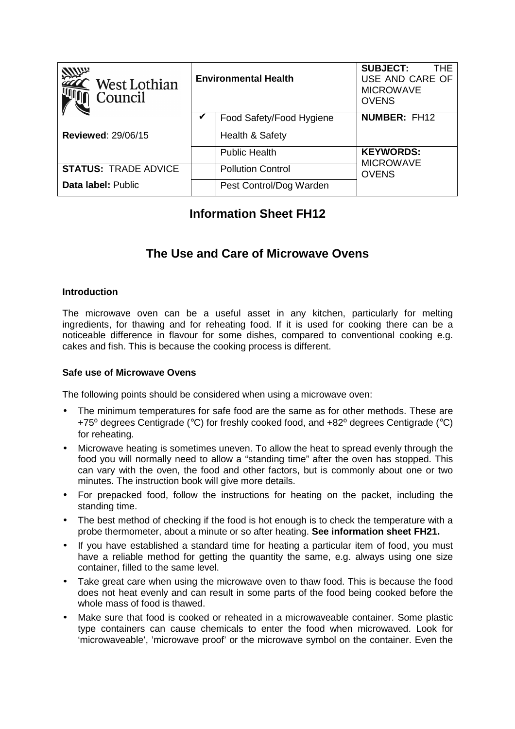| <b>MUP</b><br>West Lothian<br>Council | <b>Environmental Health</b> |                          | <b>SUBJECT:</b><br><b>THE</b><br>USE AND CARE OF<br><b>MICROWAVE</b><br><b>OVENS</b> |
|---------------------------------------|-----------------------------|--------------------------|--------------------------------------------------------------------------------------|
|                                       |                             | Food Safety/Food Hygiene | <b>NUMBER: FH12</b>                                                                  |
| <b>Reviewed: 29/06/15</b>             |                             | Health & Safety          |                                                                                      |
|                                       |                             | <b>Public Health</b>     | <b>KEYWORDS:</b>                                                                     |
| <b>STATUS: TRADE ADVICE</b>           |                             | <b>Pollution Control</b> | <b>MICROWAVE</b><br><b>OVENS</b>                                                     |
| Data label: Public                    |                             | Pest Control/Dog Warden  |                                                                                      |

## **Information Sheet FH12**

# **The Use and Care of Microwave Ovens**

#### **Introduction**

The microwave oven can be a useful asset in any kitchen, particularly for melting ingredients, for thawing and for reheating food. If it is used for cooking there can be a noticeable difference in flavour for some dishes, compared to conventional cooking e.g. cakes and fish. This is because the cooking process is different.

#### **Safe use of Microwave Ovens**

The following points should be considered when using a microwave oven:

- The minimum temperatures for safe food are the same as for other methods. These are +75<sup>o</sup> degrees Centigrade (°C) for freshly cooked food, and +82<sup>o</sup> degrees Centigrade (°C) for reheating.
- Microwave heating is sometimes uneven. To allow the heat to spread evenly through the food you will normally need to allow a "standing time" after the oven has stopped. This can vary with the oven, the food and other factors, but is commonly about one or two minutes. The instruction book will give more details.
- For prepacked food, follow the instructions for heating on the packet, including the standing time.
- The best method of checking if the food is hot enough is to check the temperature with a probe thermometer, about a minute or so after heating. **See information sheet FH21.**
- If you have established a standard time for heating a particular item of food, you must have a reliable method for getting the quantity the same, e.g. always using one size container, filled to the same level.
- Take great care when using the microwave oven to thaw food. This is because the food does not heat evenly and can result in some parts of the food being cooked before the whole mass of food is thawed.
- Make sure that food is cooked or reheated in a microwaveable container. Some plastic type containers can cause chemicals to enter the food when microwaved. Look for 'microwaveable', 'microwave proof' or the microwave symbol on the container. Even the